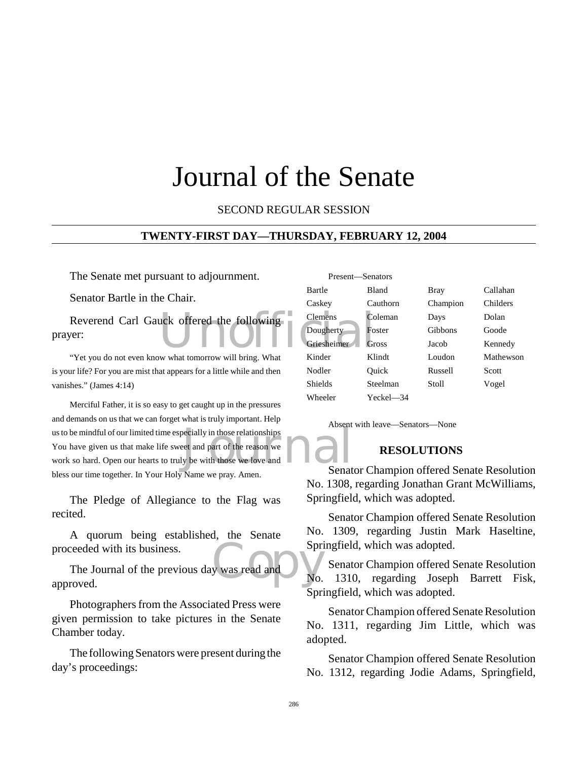# Journal of the Senate

SECOND REGULAR SESSION

#### **TWENTY-FIRST DAY—THURSDAY, FEBRUARY 12, 2004**

The Senate met pursuant to adjournment.

Senator Bartle in the Chair.

Reverend Carl Gauck offered the following<br>
Ver:<br>
Wet you do not sure know what temperature will being What Kinder prayer:

"Yet you do not even know what tomorrow will bring. What is your life? For you are mist that appears for a little while and then vanishes." (James 4:14)

becially in those relationships<br>eet and part of the reason we<br>y be with those we love and<br>Neparational Senat Merciful Father, it is so easy to get caught up in the pressures and demands on us that we can forget what is truly important. Help us to be mindful of our limited time especially in those relationships You have given us that make life sweet and part of the reason we work so hard. Open our hearts to truly be with those we love and bless our time together. In Your Holy Name we pray. Amen.

The Pledge of Allegiance to the Flag was recited.

A quorum being established, the Senate proceeded with its business.

Copy The Journal of the previous day was read and approved.

Photographers from the Associated Press were given permission to take pictures in the Senate Chamber today.

The following Senators were present during the day's proceedings:

| Present-Senators |              |          |           |
|------------------|--------------|----------|-----------|
| Bartle           | <b>Bland</b> | Bray     | Callahan  |
| Caskey           | Cauthorn     | Champion | Childers  |
| <b>Clemens</b>   | Coleman      | Days     | Dolan     |
| Dougherty        | Foster       | Gibbons  | Goode     |
| Griesheimer      | Gross        | Jacob    | Kennedy   |
| Kinder           | Klindt       | Loudon   | Mathewson |
| Nodler           | Ouick        | Russell  | Scott     |
| Shields          | Steelman     | Stoll    | Vogel     |
| Wheeler          | Yeckel—34    |          |           |

Absent with leave—Senators—None

## **RESOLUTIONS**

Senator Champion offered Senate Resolution No. 1308, regarding Jonathan Grant McWilliams, Springfield, which was adopted.

Senator Champion offered Senate Resolution No. 1309, regarding Justin Mark Haseltine, Springfield, which was adopted.

Senator Champion offered Senate Resolution No. 1310, regarding Joseph Barrett Fisk, Springfield, which was adopted.

Senator Champion offered Senate Resolution No. 1311, regarding Jim Little, which was adopted.

Senator Champion offered Senate Resolution No. 1312, regarding Jodie Adams, Springfield,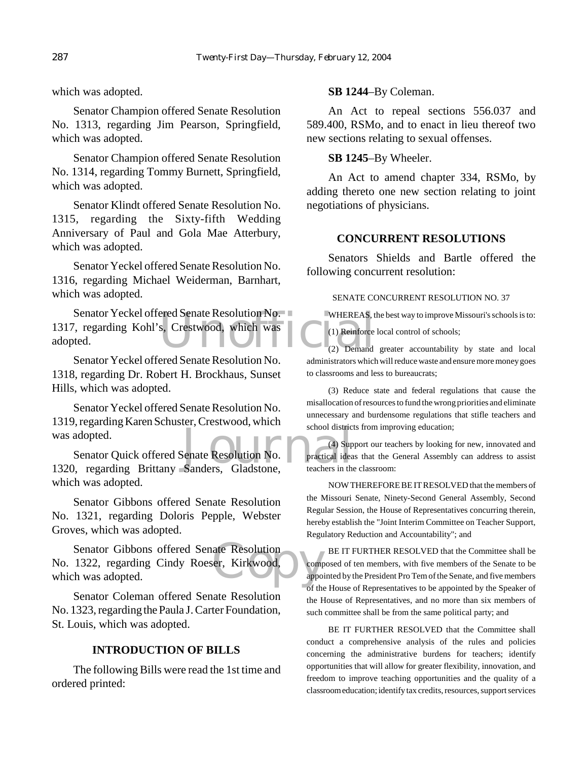which was adopted.

Senator Champion offered Senate Resolution No. 1313, regarding Jim Pearson, Springfield, which was adopted.

Senator Champion offered Senate Resolution No. 1314, regarding Tommy Burnett, Springfield, which was adopted.

Senator Klindt offered Senate Resolution No. 1315, regarding the Sixty-fifth Wedding Anniversary of Paul and Gola Mae Atterbury, which was adopted.

Senator Yeckel offered Senate Resolution No. 1316, regarding Michael Weiderman, Barnhart, which was adopted.

ered Senate Resolution No. WHEREAS, t<br>
S. Crestwood, which was<br>
(2) Demand Senator Yeckel offered Senate Resolution No. 1317, regarding Kohl's, Crestwood, which was adopted.

Senator Yeckel offered Senate Resolution No. 1318, regarding Dr. Robert H. Brockhaus, Sunset Hills, which was adopted.

Senator Yeckel offered Senate Resolution No. 1319, regarding Karen Schuster, Crestwood, which was adopted.

School district<br>Senate Resolution No. Practical idea<br>Sanders, Gladstone, teachers in the Senator Quick offered Senate Resolution No. 1320, regarding Brittany Sanders, Gladstone, which was adopted.

Senator Gibbons offered Senate Resolution No. 1321, regarding Doloris Pepple, Webster Groves, which was adopted.

ate Resolution<br>
er, Kirkwood, appo Senator Gibbons offered Senate Resolution No. 1322, regarding Cindy Roeser, Kirkwood, which was adopted.

Senator Coleman offered Senate Resolution No. 1323, regarding the Paula J. Carter Foundation, St. Louis, which was adopted.

## **INTRODUCTION OF BILLS**

The following Bills were read the 1st time and ordered printed:

#### **SB 1244**–By Coleman.

An Act to repeal sections 556.037 and 589.400, RSMo, and to enact in lieu thereof two new sections relating to sexual offenses.

#### **SB 1245**–By Wheeler.

An Act to amend chapter 334, RSMo, by adding thereto one new section relating to joint negotiations of physicians.

#### **CONCURRENT RESOLUTIONS**

Senators Shields and Bartle offered the following concurrent resolution:

#### SENATE CONCURRENT RESOLUTION NO. 37

WHEREAS, the best way to improve Missouri's schools is to:

(1) Reinforce local control of schools;

(2) Demand greater accountability by state and local administrators which will reduce waste and ensure more money goes to classrooms and less to bureaucrats;

(3) Reduce state and federal regulations that cause the misallocation of resources to fund the wrong priorities and eliminate unnecessary and burdensome regulations that stifle teachers and school districts from improving education;

(4) Support our teachers by looking for new, innovated and practical ideas that the General Assembly can address to assist teachers in the classroom:

NOW THEREFORE BE IT RESOLVED that the members of the Missouri Senate, Ninety-Second General Assembly, Second Regular Session, the House of Representatives concurring therein, hereby establish the "Joint Interim Committee on Teacher Support, Regulatory Reduction and Accountability"; and

BE IT FURTHER RESOLVED that the Committee shall be composed of ten members, with five members of the Senate to be appointed by the President Pro Tem of the Senate, and five members of the House of Representatives to be appointed by the Speaker of the House of Representatives, and no more than six members of such committee shall be from the same political party; and

BE IT FURTHER RESOLVED that the Committee shall conduct a comprehensive analysis of the rules and policies concerning the administrative burdens for teachers; identify opportunities that will allow for greater flexibility, innovation, and freedom to improve teaching opportunities and the quality of a classroom education; identify tax credits, resources, support services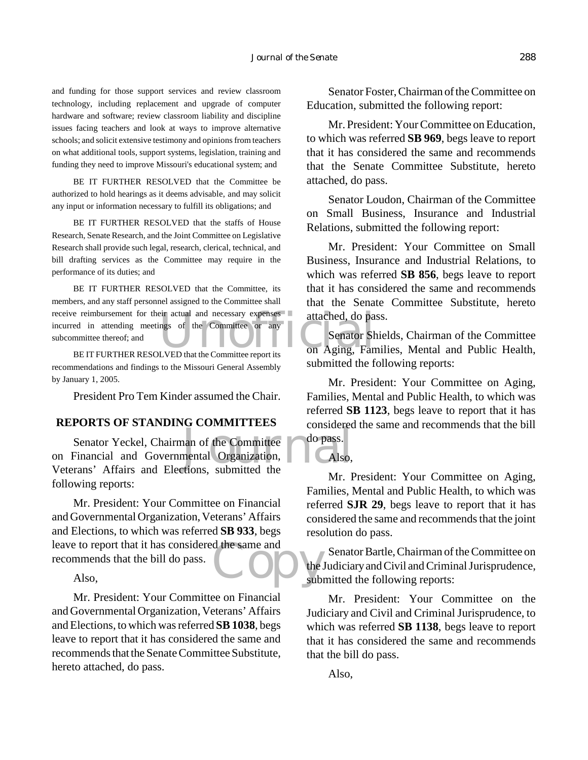and funding for those support services and review classroom technology, including replacement and upgrade of computer hardware and software; review classroom liability and discipline issues facing teachers and look at ways to improve alternative schools; and solicit extensive testimony and opinions from teachers on what additional tools, support systems, legislation, training and funding they need to improve Missouri's educational system; and

BE IT FURTHER RESOLVED that the Committee be authorized to hold hearings as it deems advisable, and may solicit any input or information necessary to fulfill its obligations; and

BE IT FURTHER RESOLVED that the staffs of House Research, Senate Research, and the Joint Committee on Legislative Research shall provide such legal, research, clerical, technical, and bill drafting services as the Committee may require in the performance of its duties; and

receive reimbursement for their actual and necessary expenses attached, do paint in attending meetings of the Committee or any autocommittee thereof; and BEIT FURTHER RESOLVED that the Committee report its on Aging, Fan BE IT FURTHER RESOLVED that the Committee, its members, and any staff personnel assigned to the Committee shall incurred in attending meetings of the Committee or any subcommittee thereof; and

BE IT FURTHER RESOLVED that the Committee report its recommendations and findings to the Missouri General Assembly by January 1, 2005.

President Pro Tem Kinder assumed the Chair.

#### **REPORTS OF STANDING COMMITTEES**

an of the Committee<br>
nental Organization, Calso,<br>
tions. submitted the Senator Yeckel, Chairman of the Committee on Financial and Governmental Organization, Veterans' Affairs and Elections, submitted the following reports:

leave to report that it has considered the same and<br>recommends that the bill do pass.<br>Also, sub-Mr. President: Your Committee on Financial and Governmental Organization, Veterans' Affairs and Elections, to which was referred **SB 933**, begs recommends that the bill do pass.

Also,

Mr. President: Your Committee on Financial and Governmental Organization, Veterans' Affairs and Elections, to which was referred **SB 1038**, begs leave to report that it has considered the same and recommends that the Senate Committee Substitute, hereto attached, do pass.

Senator Foster, Chairman of the Committee on Education, submitted the following report:

Mr. President: Your Committee on Education, to which was referred **SB 969**, begs leave to report that it has considered the same and recommends that the Senate Committee Substitute, hereto attached, do pass.

Senator Loudon, Chairman of the Committee on Small Business, Insurance and Industrial Relations, submitted the following report:

Mr. President: Your Committee on Small Business, Insurance and Industrial Relations, to which was referred **SB 856**, begs leave to report that it has considered the same and recommends that the Senate Committee Substitute, hereto attached, do pass.

Senator Shields, Chairman of the Committee on Aging, Families, Mental and Public Health, submitted the following reports:

Mr. President: Your Committee on Aging, Families, Mental and Public Health, to which was referred **SB 1123**, begs leave to report that it has considered the same and recommends that the bill do pass.

Also,

Mr. President: Your Committee on Aging, Families, Mental and Public Health, to which was referred **SJR 29**, begs leave to report that it has considered the same and recommends that the joint resolution do pass.

Senator Bartle, Chairman of the Committee on the Judiciary and Civil and Criminal Jurisprudence, submitted the following reports:

Mr. President: Your Committee on the Judiciary and Civil and Criminal Jurisprudence, to which was referred **SB 1138**, begs leave to report that it has considered the same and recommends that the bill do pass.

Also,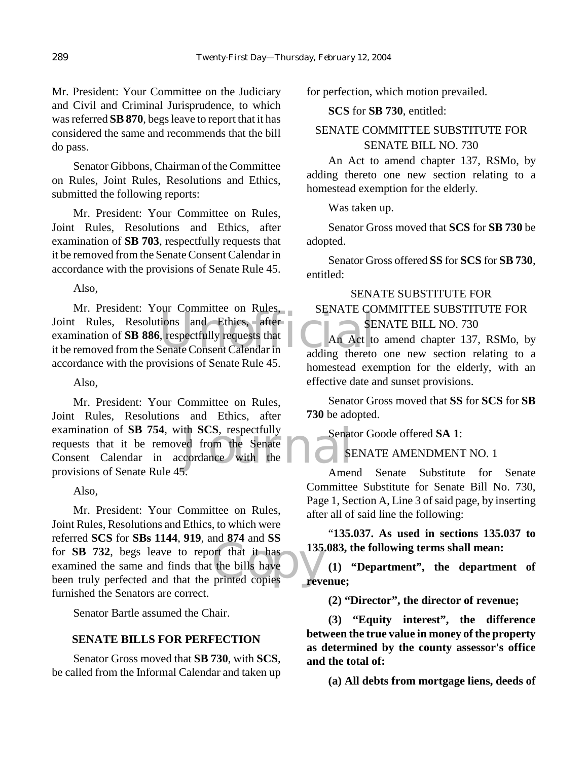Mr. President: Your Committee on the Judiciary and Civil and Criminal Jurisprudence, to which was referred **SB 870**, begs leave to report that it has considered the same and recommends that the bill do pass.

Senator Gibbons, Chairman of the Committee on Rules, Joint Rules, Resolutions and Ethics, submitted the following reports:

Mr. President: Your Committee on Rules, Joint Rules, Resolutions and Ethics, after examination of **SB 703**, respectfully requests that it be removed from the Senate Consent Calendar in accordance with the provisions of Senate Rule 45.

Also,

SENATE CO.<br>
ions and Ethics, after<br>
SENATE CO.<br>
SENATE CO.<br>
SENATE CO.<br>
SENATE CO.<br>
SENATE CO. Mr. President: Your Committee on Rules, Joint Rules, Resolutions and Ethics, after examination of **SB 886**, respectfully requests that it be removed from the Senate Consent Calendar in accordance with the provisions of Senate Rule 45.

Also,

ith SCS, respectfully<br>ed from the Senate<br>coordance with the american community Mr. President: Your Committee on Rules, Joint Rules, Resolutions and Ethics, after examination of **SB 754**, with **SCS**, respectfully requests that it be removed from the Senate Consent Calendar in accordance with the provisions of Senate Rule 45.

Also,

not that it has<br>the bills have<br>printed copies Mr. President: Your Committee on Rules, Joint Rules, Resolutions and Ethics, to which were referred **SCS** for **SBs 1144**, **919**, and **874** and **SS** for **SB 732**, begs leave to report that it has examined the same and finds that the bills have been truly perfected and that the printed copies furnished the Senators are correct.

Senator Bartle assumed the Chair.

# **SENATE BILLS FOR PERFECTION**

Senator Gross moved that **SB 730**, with **SCS**, be called from the Informal Calendar and taken up for perfection, which motion prevailed.

**SCS** for **SB 730**, entitled:

# SENATE COMMITTEE SUBSTITUTE FOR SENATE BILL NO. 730

An Act to amend chapter 137, RSMo, by adding thereto one new section relating to a homestead exemption for the elderly.

Was taken up.

Senator Gross moved that **SCS** for **SB 730** be adopted.

Senator Gross offered **SS** for **SCS** for **SB 730**, entitled:

# SENATE SUBSTITUTE FOR SENATE COMMITTEE SUBSTITUTE FOR SENATE BILL NO. 730

An Act to amend chapter 137, RSMo, by adding thereto one new section relating to a homestead exemption for the elderly, with an effective date and sunset provisions.

Senator Gross moved that **SS** for **SCS** for **SB 730** be adopted.

Senator Goode offered **SA 1**:

# SENATE AMENDMENT NO. 1

Amend Senate Substitute for Senate Committee Substitute for Senate Bill No. 730, Page 1, Section A, Line 3 of said page, by inserting after all of said line the following:

"**135.037. As used in sections 135.037 to 135.083, the following terms shall mean:**

**(1) "Department", the department of revenue;**

**(2) "Director", the director of revenue;**

**(3) "Equity interest", the difference between the true value in money of the property as determined by the county assessor's office and the total of:**

**(a) All debts from mortgage liens, deeds of**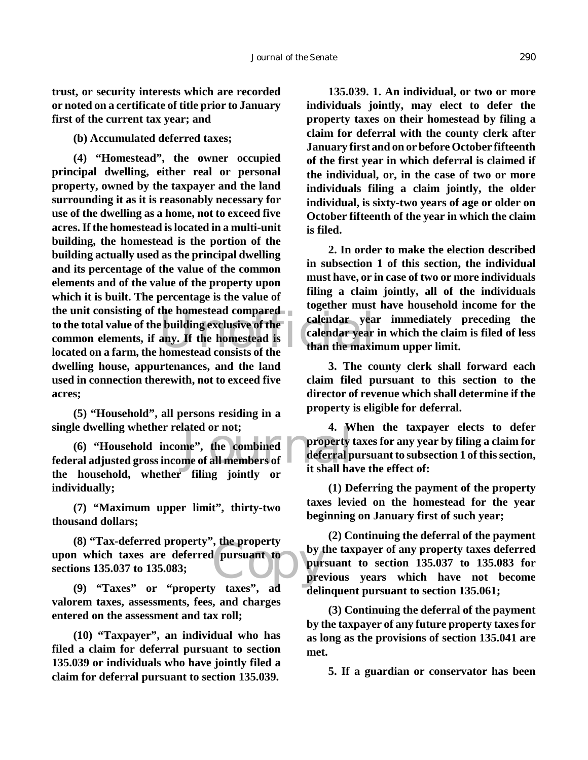**trust, or security interests which are recorded or noted on a certificate of title prior to January first of the current tax year; and**

**(b) Accumulated deferred taxes;**

the unit consisting of the homestead compared<br>to the total value of the building exclusive of the<br>common elements, if any. If the homestead is<br>located on a farm, the homestead consists of the<br>than the maxim **(4) "Homestead", the owner occupied principal dwelling, either real or personal property, owned by the taxpayer and the land surrounding it as it is reasonably necessary for use of the dwelling as a home, not to exceed five acres. If the homestead is located in a multi-unit building, the homestead is the portion of the building actually used as the principal dwelling and its percentage of the value of the common elements and of the value of the property upon which it is built. The percentage is the value of to the total value of the building exclusive of the common elements, if any. If the homestead is located on a farm, the homestead consists of the dwelling house, appurtenances, and the land used in connection therewith, not to exceed five acres;**

**(5) "Household", all persons residing in a single dwelling whether related or not;**

single dwelling whether related or not;<br>
(6) "Household income", the combined<br>
federal adjusted gross income of all members of deferral p<br>
it shall ha **(6) "Household income", the combined the household, whether filing jointly or individually;**

**(7) "Maximum upper limit", thirty-two thousand dollars;**

the property<br>
pursuant to by the pur<br>
pur<br>
pre **(8) "Tax-deferred property", the property upon which taxes are deferred pursuant to sections 135.037 to 135.083;**

**(9) "Taxes" or "property taxes", ad valorem taxes, assessments, fees, and charges entered on the assessment and tax roll;**

**(10) "Taxpayer", an individual who has filed a claim for deferral pursuant to section 135.039 or individuals who have jointly filed a claim for deferral pursuant to section 135.039.**

**135.039. 1. An individual, or two or more individuals jointly, may elect to defer the property taxes on their homestead by filing a claim for deferral with the county clerk after January first and on or before October fifteenth of the first year in which deferral is claimed if the individual, or, in the case of two or more individuals filing a claim jointly, the older individual, is sixty-two years of age or older on October fifteenth of the year in which the claim is filed.**

**2. In order to make the election described in subsection 1 of this section, the individual must have, or in case of two or more individuals filing a claim jointly, all of the individuals together must have household income for the calendar year immediately preceding the calendar year in which the claim is filed of less than the maximum upper limit.**

**3. The county clerk shall forward each claim filed pursuant to this section to the director of revenue which shall determine if the property is eligible for deferral.**

**4. When the taxpayer elects to defer property taxes for any year by filing a claim for deferral pursuant to subsection 1 of this section, it shall have the effect of:**

**(1) Deferring the payment of the property taxes levied on the homestead for the year beginning on January first of such year;**

**(2) Continuing the deferral of the payment by the taxpayer of any property taxes deferred pursuant to section 135.037 to 135.083 for previous years which have not become delinquent pursuant to section 135.061;**

**(3) Continuing the deferral of the payment by the taxpayer of any future property taxes for as long as the provisions of section 135.041 are met.**

**5. If a guardian or conservator has been**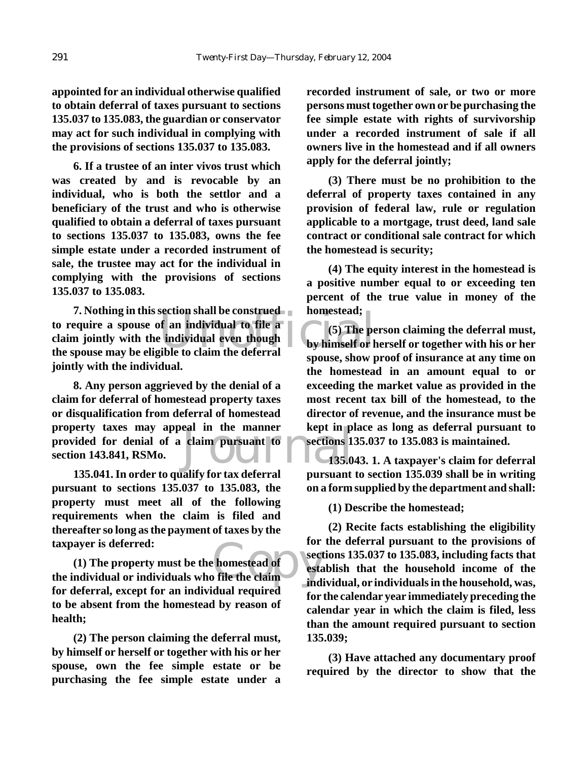**appointed for an individual otherwise qualified to obtain deferral of taxes pursuant to sections 135.037 to 135.083, the guardian or conservator may act for such individual in complying with the provisions of sections 135.037 to 135.083.**

**6. If a trustee of an inter vivos trust which was created by and is revocable by an individual, who is both the settlor and a beneficiary of the trust and who is otherwise qualified to obtain a deferral of taxes pursuant to sections 135.037 to 135.083, owns the fee simple estate under a recorded instrument of sale, the trustee may act for the individual in complying with the provisions of sections 135.037 to 135.083.**

Exection shall be construed<br>
of an individual to file a<br>
individual even though<br>
ible to claim the deferral<br>
shall consume the property of the property of the property. **7. Nothing in this section shall be construed to require a spouse of an individual to file a claim jointly with the individual even though the spouse may be eligible to claim the deferral jointly with the individual.**

eal in the manner<br>claim pursuant to<br>135.0 **8. Any person aggrieved by the denial of a claim for deferral of homestead property taxes or disqualification from deferral of homestead property taxes may appeal in the manner provided for denial of a claim pursuant to section 143.841, RSMo.**

**135.041. In order to qualify for tax deferral pursuant to sections 135.037 to 135.083, the property must meet all of the following requirements when the claim is filed and thereafter so long as the payment of taxes by the taxpayer is deferred:**

taxpayer is deferred:<br>
(1) The property must be the homestead of<br>
the individual or individuals who file the claim<br>
indi **(1) The property must be the homestead of for deferral, except for an individual required to be absent from the homestead by reason of health;**

**(2) The person claiming the deferral must, by himself or herself or together with his or her spouse, own the fee simple estate or be purchasing the fee simple estate under a** **recorded instrument of sale, or two or more persons must together own or be purchasing the fee simple estate with rights of survivorship under a recorded instrument of sale if all owners live in the homestead and if all owners apply for the deferral jointly;**

**(3) There must be no prohibition to the deferral of property taxes contained in any provision of federal law, rule or regulation applicable to a mortgage, trust deed, land sale contract or conditional sale contract for which the homestead is security;**

**(4) The equity interest in the homestead is a positive number equal to or exceeding ten percent of the true value in money of the homestead;**

**(5) The person claiming the deferral must, by himself or herself or together with his or her spouse, show proof of insurance at any time on the homestead in an amount equal to or exceeding the market value as provided in the most recent tax bill of the homestead, to the director of revenue, and the insurance must be kept in place as long as deferral pursuant to sections 135.037 to 135.083 is maintained.**

**135.043. 1. A taxpayer's claim for deferral pursuant to section 135.039 shall be in writing on a form supplied by the department and shall:**

**(1) Describe the homestead;**

**(2) Recite facts establishing the eligibility for the deferral pursuant to the provisions of sections 135.037 to 135.083, including facts that establish that the household income of the individual, or individuals in the household, was, for the calendar year immediately preceding the calendar year in which the claim is filed, less than the amount required pursuant to section 135.039;**

**(3) Have attached any documentary proof required by the director to show that the**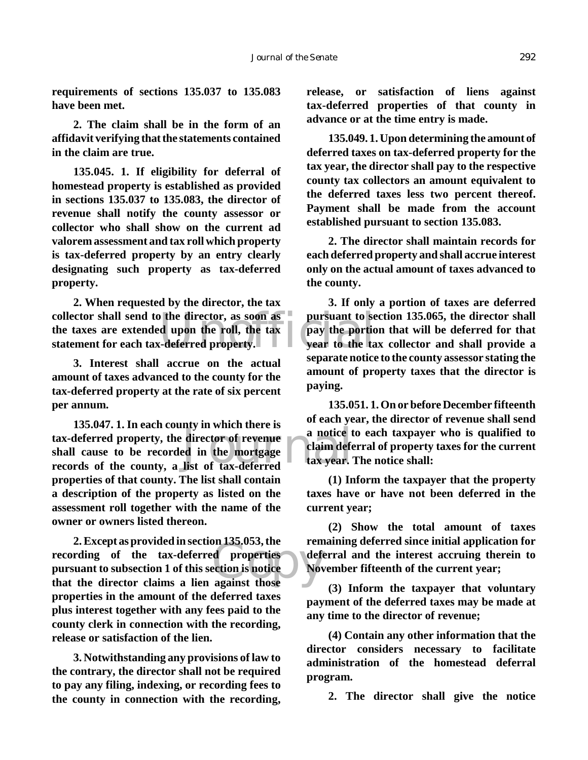**requirements of sections 135.037 to 135.083 have been met.**

**2. The claim shall be in the form of an affidavit verifying that the statements contained in the claim are true.**

**135.045. 1. If eligibility for deferral of homestead property is established as provided in sections 135.037 to 135.083, the director of revenue shall notify the county assessor or collector who shall show on the current ad valorem assessment and tax roll which property is tax-deferred property by an entry clearly designating such property as tax-deferred property.**

collector shall send to the director, as soon as<br>the taxes are extended upon the roll, the tax<br>statement for each tax-deferred property. **2. When requested by the director, the tax the taxes are extended upon the roll, the tax statement for each tax-deferred property.**

**3. Interest shall accrue on the actual amount of taxes advanced to the county for the tax-deferred property at the rate of six percent per annum.**

director of revenue a notice t<br>ed in the mortgage list of tax-deferred **135.047. 1. In each county in which there is tax-deferred property, the director of revenue shall cause to be recorded in the mortgage records of the county, a list of tax-deferred properties of that county. The list shall contain a description of the property as listed on the assessment roll together with the name of the owner or owners listed thereon.**

on 155.055, the<br>d properties<br>ection is notice<br>against those **2. Except as provided in section 135.053, the recording of the tax-deferred properties pursuant to subsection 1 of this section is notice that the director claims a lien against those properties in the amount of the deferred taxes plus interest together with any fees paid to the county clerk in connection with the recording, release or satisfaction of the lien.**

**3. Notwithstanding any provisions of law to the contrary, the director shall not be required to pay any filing, indexing, or recording fees to the county in connection with the recording,** **release, or satisfaction of liens against tax-deferred properties of that county in advance or at the time entry is made.**

**135.049. 1. Upon determining the amount of deferred taxes on tax-deferred property for the tax year, the director shall pay to the respective county tax collectors an amount equivalent to the deferred taxes less two percent thereof. Payment shall be made from the account established pursuant to section 135.083.**

**2. The director shall maintain records for each deferred property and shall accrue interest only on the actual amount of taxes advanced to the county.**

**3. If only a portion of taxes are deferred pursuant to section 135.065, the director shall pay the portion that will be deferred for that year to the tax collector and shall provide a separate notice to the county assessor stating the amount of property taxes that the director is paying.**

**135.051. 1. On or before December fifteenth of each year, the director of revenue shall send a notice to each taxpayer who is qualified to claim deferral of property taxes for the current tax year. The notice shall:**

**(1) Inform the taxpayer that the property taxes have or have not been deferred in the current year;**

**(2) Show the total amount of taxes remaining deferred since initial application for deferral and the interest accruing therein to November fifteenth of the current year;**

**(3) Inform the taxpayer that voluntary payment of the deferred taxes may be made at any time to the director of revenue;**

**(4) Contain any other information that the director considers necessary to facilitate administration of the homestead deferral program.**

**2. The director shall give the notice**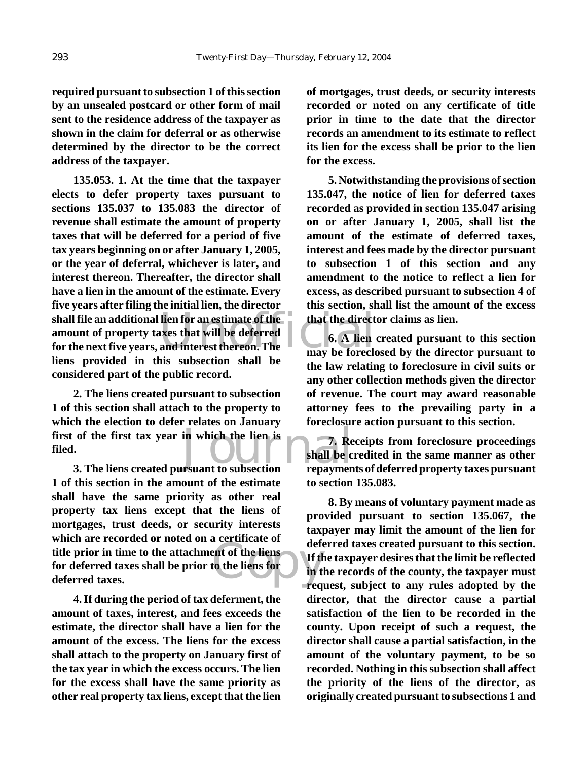**required pursuant to subsection 1 of this section by an unsealed postcard or other form of mail sent to the residence address of the taxpayer as shown in the claim for deferral or as otherwise determined by the director to be the correct address of the taxpayer.**

shall file an additional lien for an estimate of the<br>
amount of property taxes that will be deferred<br>
for the next five years, and interest thereon. The<br>
may be forecle **135.053. 1. At the time that the taxpayer elects to defer property taxes pursuant to sections 135.037 to 135.083 the director of revenue shall estimate the amount of property taxes that will be deferred for a period of five tax years beginning on or after January 1, 2005, or the year of deferral, whichever is later, and interest thereon. Thereafter, the director shall have a lien in the amount of the estimate. Every five years after filing the initial lien, the director shall file an additional lien for an estimate of the amount of property taxes that will be deferred liens provided in this subsection shall be considered part of the public record.**

first of the first tax year in which the lien is<br>filed.<br>3. The liens created pursuant to subsection repayment **2. The liens created pursuant to subsection 1 of this section shall attach to the property to which the election to defer relates on January filed.**

Which are recorded of hoted on a certaineate of<br>title prior in time to the attachment of the liens<br>for deferred taxes shall be prior to the liens for<br>deferred taxes. **3. The liens created pursuant to subsection 1 of this section in the amount of the estimate shall have the same priority as other real property tax liens except that the liens of mortgages, trust deeds, or security interests which are recorded or noted on a certificate of for deferred taxes shall be prior to the liens for deferred taxes.**

**4. If during the period of tax deferment, the amount of taxes, interest, and fees exceeds the estimate, the director shall have a lien for the amount of the excess. The liens for the excess shall attach to the property on January first of the tax year in which the excess occurs. The lien for the excess shall have the same priority as other real property tax liens, except that the lien** **of mortgages, trust deeds, or security interests recorded or noted on any certificate of title prior in time to the date that the director records an amendment to its estimate to reflect its lien for the excess shall be prior to the lien for the excess.**

**5. Notwithstanding the provisions of section 135.047, the notice of lien for deferred taxes recorded as provided in section 135.047 arising on or after January 1, 2005, shall list the amount of the estimate of deferred taxes, interest and fees made by the director pursuant to subsection 1 of this section and any amendment to the notice to reflect a lien for excess, as described pursuant to subsection 4 of this section, shall list the amount of the excess that the director claims as lien.**

**6. A lien created pursuant to this section may be foreclosed by the director pursuant to the law relating to foreclosure in civil suits or any other collection methods given the director of revenue. The court may award reasonable attorney fees to the prevailing party in a foreclosure action pursuant to this section.**

**7. Receipts from foreclosure proceedings shall be credited in the same manner as other repayments of deferred property taxes pursuant to section 135.083.**

**8. By means of voluntary payment made as provided pursuant to section 135.067, the taxpayer may limit the amount of the lien for deferred taxes created pursuant to this section. If the taxpayer desires that the limit be reflected in the records of the county, the taxpayer must request, subject to any rules adopted by the director, that the director cause a partial satisfaction of the lien to be recorded in the county. Upon receipt of such a request, the director shall cause a partial satisfaction, in the amount of the voluntary payment, to be so recorded. Nothing in this subsection shall affect the priority of the liens of the director, as originally created pursuant to subsections 1 and**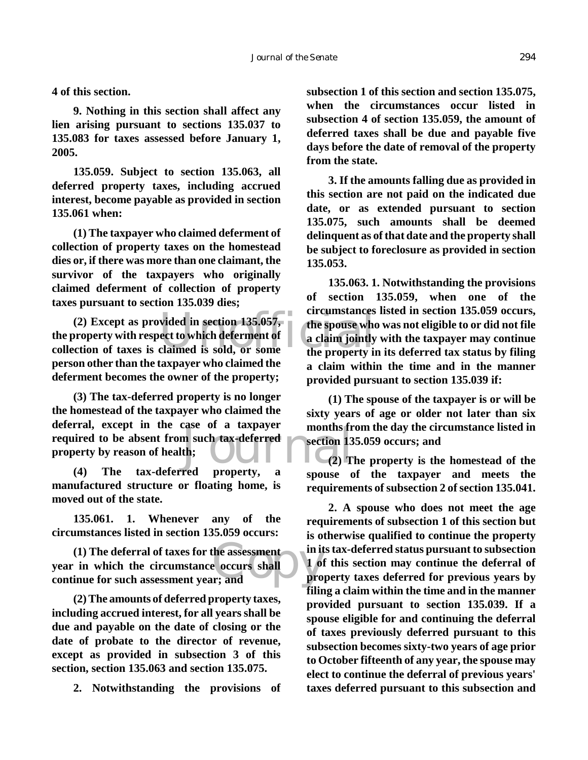**4 of this section.**

**9. Nothing in this section shall affect any lien arising pursuant to sections 135.037 to 135.083 for taxes assessed before January 1, 2005.**

**135.059. Subject to section 135.063, all deferred property taxes, including accrued interest, become payable as provided in section 135.061 when:**

**(1) The taxpayer who claimed deferment of collection of property taxes on the homestead dies or, if there was more than one claimant, the survivor of the taxpayers who originally claimed deferment of collection of property taxes pursuant to section 135.039 dies;**

(2) Except as provided in section 135.057,<br>
property with respect to which deferment of a claim jointly<br>
ction of taxes is claimed is sold, or some the property in **the property with respect to which deferment of collection of taxes is claimed is sold, or some person other than the taxpayer who claimed the deferment becomes the owner of the property;**

m such tax-deferred<br>th;<br>red property a<br>control of the control of the control of the control of the control of the control of the control of the control of the control of the control of the control of the control of the con **(3) The tax-deferred property is no longer the homestead of the taxpayer who claimed the deferral, except in the case of a taxpayer required to be absent from such tax-deferred property by reason of health;**

**(4) The tax-deferred property, a manufactured structure or floating home, is moved out of the state.**

**135.061. 1. Whenever any of the circumstances listed in section 135.059 occurs:**

the assessment<br>
e occurs shall<br>
r; and<br>
pro **(1) The deferral of taxes for the assessment year in which the circumstance occurs shall continue for such assessment year; and**

**(2) The amounts of deferred property taxes, including accrued interest, for all years shall be due and payable on the date of closing or the date of probate to the director of revenue, except as provided in subsection 3 of this section, section 135.063 and section 135.075.**

**2. Notwithstanding the provisions of**

**subsection 1 of this section and section 135.075, when the circumstances occur listed in subsection 4 of section 135.059, the amount of deferred taxes shall be due and payable five days before the date of removal of the property from the state.**

**3. If the amounts falling due as provided in this section are not paid on the indicated due date, or as extended pursuant to section 135.075, such amounts shall be deemed delinquent as of that date and the property shall be subject to foreclosure as provided in section 135.053.**

**135.063. 1. Notwithstanding the provisions of section 135.059, when one of the circumstances listed in section 135.059 occurs, the spouse who was not eligible to or did not file a claim jointly with the taxpayer may continue the property in its deferred tax status by filing a claim within the time and in the manner provided pursuant to section 135.039 if:**

**(1) The spouse of the taxpayer is or will be sixty years of age or older not later than six months from the day the circumstance listed in section 135.059 occurs; and**

**(2) The property is the homestead of the spouse of the taxpayer and meets the requirements of subsection 2 of section 135.041.**

**2. A spouse who does not meet the age requirements of subsection 1 of this section but is otherwise qualified to continue the property in its tax-deferred status pursuant to subsection 1 of this section may continue the deferral of property taxes deferred for previous years by filing a claim within the time and in the manner provided pursuant to section 135.039. If a spouse eligible for and continuing the deferral of taxes previously deferred pursuant to this subsection becomes sixty-two years of age prior to October fifteenth of any year, the spouse may elect to continue the deferral of previous years' taxes deferred pursuant to this subsection and**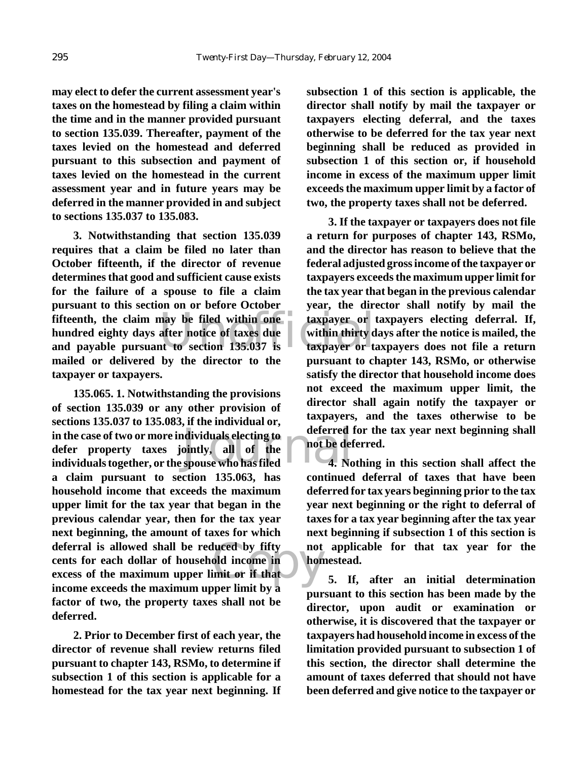**may elect to defer the current assessment year's taxes on the homestead by filing a claim within the time and in the manner provided pursuant to section 135.039. Thereafter, payment of the taxes levied on the homestead and deferred pursuant to this subsection and payment of taxes levied on the homestead in the current assessment year and in future years may be deferred in the manner provided in and subject to sections 135.037 to 135.083.**

Fifteenth, the claim may be filed within one<br>
hundred eighty days after notice of taxes due<br>
and payable pursuant to section 135.037 is<br>
taxpayer or to **3. Notwithstanding that section 135.039 requires that a claim be filed no later than October fifteenth, if the director of revenue determines that good and sufficient cause exists for the failure of a spouse to file a claim pursuant to this section on or before October fifteenth, the claim may be filed within one hundred eighty days after notice of taxes due mailed or delivered by the director to the taxpayer or taxpayers.**

in the case of two or more individuals electing to<br>
defer property taxes jointly, all of the<br>
individuals together, or the spouse who has filed<br> **1.** No deferral is allowed shall be reduced by fifty not<br>
cents for each dollar of household income in<br>
excess of the maximum upper limit or if that<br>
income exceeds the maximum upper limit by a **135.065. 1. Notwithstanding the provisions of section 135.039 or any other provision of sections 135.037 to 135.083, if the individual or, in the case of two or more individuals electing to defer property taxes jointly, all of the a claim pursuant to section 135.063, has household income that exceeds the maximum upper limit for the tax year that began in the previous calendar year, then for the tax year next beginning, the amount of taxes for which cents for each dollar of household income in excess of the maximum upper limit or if that income exceeds the maximum upper limit by a factor of two, the property taxes shall not be deferred.**

**2. Prior to December first of each year, the director of revenue shall review returns filed pursuant to chapter 143, RSMo, to determine if subsection 1 of this section is applicable for a homestead for the tax year next beginning. If** **subsection 1 of this section is applicable, the director shall notify by mail the taxpayer or taxpayers electing deferral, and the taxes otherwise to be deferred for the tax year next beginning shall be reduced as provided in subsection 1 of this section or, if household income in excess of the maximum upper limit exceeds the maximum upper limit by a factor of two, the property taxes shall not be deferred.**

**3. If the taxpayer or taxpayers does not file a return for purposes of chapter 143, RSMo, and the director has reason to believe that the federal adjusted gross income of the taxpayer or taxpayers exceeds the maximum upper limit for the tax year that began in the previous calendar year, the director shall notify by mail the taxpayer or taxpayers electing deferral. If, within thirty days after the notice is mailed, the taxpayer or taxpayers does not file a return pursuant to chapter 143, RSMo, or otherwise satisfy the director that household income does not exceed the maximum upper limit, the director shall again notify the taxpayer or taxpayers, and the taxes otherwise to be deferred for the tax year next beginning shall not be deferred.**

**4. Nothing in this section shall affect the continued deferral of taxes that have been deferred for tax years beginning prior to the tax year next beginning or the right to deferral of taxes for a tax year beginning after the tax year next beginning if subsection 1 of this section is not applicable for that tax year for the homestead.**

**5. If, after an initial determination pursuant to this section has been made by the director, upon audit or examination or otherwise, it is discovered that the taxpayer or taxpayers had household income in excess of the limitation provided pursuant to subsection 1 of this section, the director shall determine the amount of taxes deferred that should not have been deferred and give notice to the taxpayer or**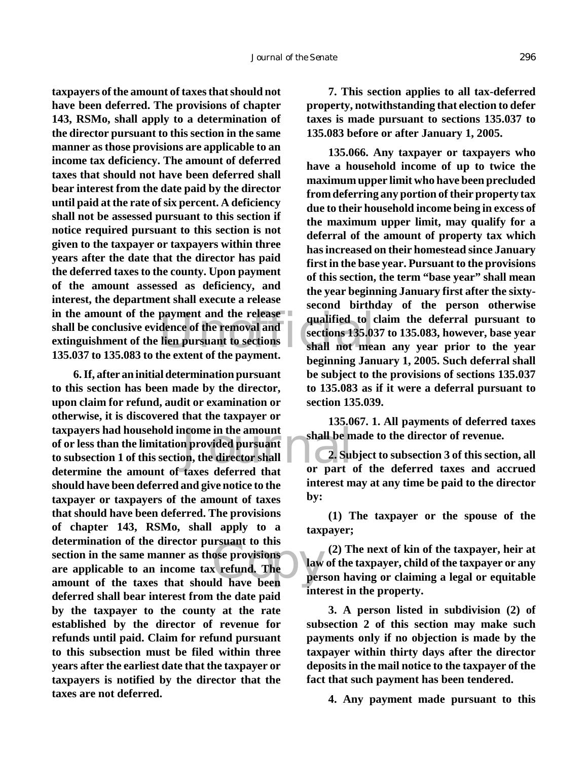payment and the release<br>dence of the removal and<br>lien pursuant to sections<br>he extent of the navment. **taxpayers of the amount of taxes that should not have been deferred. The provisions of chapter 143, RSMo, shall apply to a determination of the director pursuant to this section in the same manner as those provisions are applicable to an income tax deficiency. The amount of deferred taxes that should not have been deferred shall bear interest from the date paid by the director until paid at the rate of six percent. A deficiency shall not be assessed pursuant to this section if notice required pursuant to this section is not given to the taxpayer or taxpayers within three years after the date that the director has paid the deferred taxes to the county. Upon payment of the amount assessed as deficiency, and interest, the department shall execute a release in the amount of the payment and the release shall be conclusive evidence of the removal and extinguishment of the lien pursuant to sections 135.037 to 135.083 to the extent of the payment.**

Express in the amount<br>
in provided pursuant<br>
on, the director shall<br>
taxes deferred that<br>
or part **Example 15**<br>
Sose provisions<br>
Sose provisions<br>
and have been<br>
that the period of the period of the period of the period of the period of the period of the period of the per<br>
period of the period of the period of the perio **6. If, after an initial determination pursuant to this section has been made by the director, upon claim for refund, audit or examination or otherwise, it is discovered that the taxpayer or taxpayers had household income in the amount of or less than the limitation provided pursuant to subsection 1 of this section, the director shall determine the amount of taxes deferred that should have been deferred and give notice to the taxpayer or taxpayers of the amount of taxes that should have been deferred. The provisions of chapter 143, RSMo, shall apply to a determination of the director pursuant to this section in the same manner as those provisions are applicable to an income tax refund. The amount of the taxes that should have been deferred shall bear interest from the date paid by the taxpayer to the county at the rate established by the director of revenue for refunds until paid. Claim for refund pursuant to this subsection must be filed within three years after the earliest date that the taxpayer or taxpayers is notified by the director that the taxes are not deferred.**

**7. This section applies to all tax-deferred property, notwithstanding that election to defer taxes is made pursuant to sections 135.037 to 135.083 before or after January 1, 2005.**

**135.066. Any taxpayer or taxpayers who have a household income of up to twice the maximum upper limit who have been precluded from deferring any portion of their property tax due to their household income being in excess of the maximum upper limit, may qualify for a deferral of the amount of property tax which has increased on their homestead since January first in the base year. Pursuant to the provisions of this section, the term "base year" shall mean the year beginning January first after the sixtysecond birthday of the person otherwise qualified to claim the deferral pursuant to sections 135.037 to 135.083, however, base year shall not mean any year prior to the year beginning January 1, 2005. Such deferral shall be subject to the provisions of sections 135.037 to 135.083 as if it were a deferral pursuant to section 135.039.**

**135.067. 1. All payments of deferred taxes shall be made to the director of revenue.**

**2. Subject to subsection 3 of this section, all or part of the deferred taxes and accrued interest may at any time be paid to the director by:**

**(1) The taxpayer or the spouse of the taxpayer;**

**(2) The next of kin of the taxpayer, heir at law of the taxpayer, child of the taxpayer or any person having or claiming a legal or equitable interest in the property.**

**3. A person listed in subdivision (2) of subsection 2 of this section may make such payments only if no objection is made by the taxpayer within thirty days after the director deposits in the mail notice to the taxpayer of the fact that such payment has been tendered.**

**4. Any payment made pursuant to this**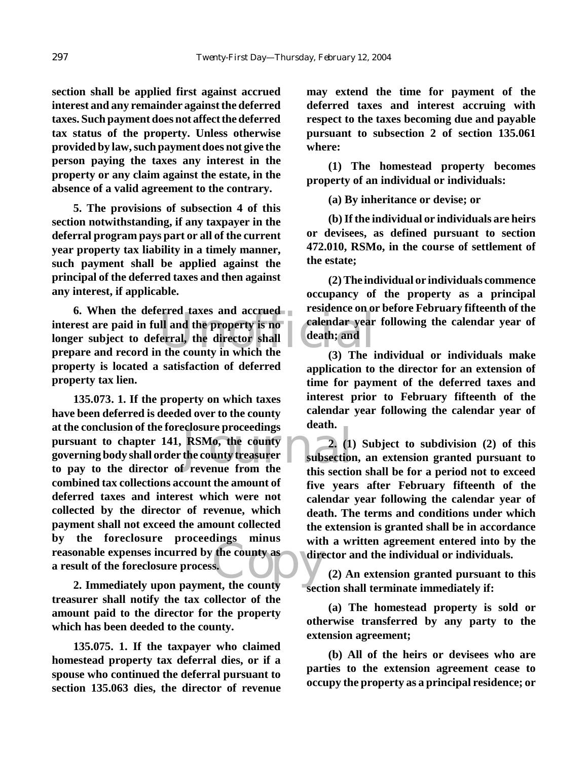**section shall be applied first against accrued interest and any remainder against the deferred taxes. Such payment does not affect the deferred tax status of the property. Unless otherwise provided by law, such payment does not give the person paying the taxes any interest in the property or any claim against the estate, in the absence of a valid agreement to the contrary.**

**5. The provisions of subsection 4 of this section notwithstanding, if any taxpayer in the deferral program pays part or all of the current year property tax liability in a timely manner, such payment shall be applied against the principal of the deferred taxes and then against any interest, if applicable.**

Il and the property is no<br>
erral, the director shall<br>
the county in which the<br>
erral, the director shall<br>
(3) The i **6. When the deferred taxes and accrued interest are paid in full and the property is no longer subject to deferral, the director shall prepare and record in the county in which the property is located a satisfaction of deferred property tax lien.**

eclosure proceedings<br>
RSMo, the county<br>
the county treasurer<br>
f revenue from the<br>
this section reasonable expenses incurred by the county as<br>a result of the foreclosure process.<br>2. Immediately upon payment, the county **135.073. 1. If the property on which taxes have been deferred is deeded over to the county at the conclusion of the foreclosure proceedings pursuant to chapter 141, RSMo, the county governing body shall order the county treasurer to pay to the director of revenue from the combined tax collections account the amount of deferred taxes and interest which were not collected by the director of revenue, which payment shall not exceed the amount collected by the foreclosure proceedings minus a result of the foreclosure process.**

**2. Immediately upon payment, the county treasurer shall notify the tax collector of the amount paid to the director for the property which has been deeded to the county.**

**135.075. 1. If the taxpayer who claimed homestead property tax deferral dies, or if a spouse who continued the deferral pursuant to section 135.063 dies, the director of revenue** **may extend the time for payment of the deferred taxes and interest accruing with respect to the taxes becoming due and payable pursuant to subsection 2 of section 135.061 where:**

**(1) The homestead property becomes property of an individual or individuals:**

**(a) By inheritance or devise; or**

**(b) If the individual or individuals are heirs or devisees, as defined pursuant to section 472.010, RSMo, in the course of settlement of the estate;**

**(2) The individual or individuals commence occupancy of the property as a principal residence on or before February fifteenth of the calendar year following the calendar year of death; and**

**(3) The individual or individuals make application to the director for an extension of time for payment of the deferred taxes and interest prior to February fifteenth of the calendar year following the calendar year of death.**

**2. (1) Subject to subdivision (2) of this subsection, an extension granted pursuant to this section shall be for a period not to exceed five years after February fifteenth of the calendar year following the calendar year of death. The terms and conditions under which the extension is granted shall be in accordance with a written agreement entered into by the director and the individual or individuals.**

**(2) An extension granted pursuant to this section shall terminate immediately if:**

**(a) The homestead property is sold or otherwise transferred by any party to the extension agreement;**

**(b) All of the heirs or devisees who are parties to the extension agreement cease to occupy the property as a principal residence; or**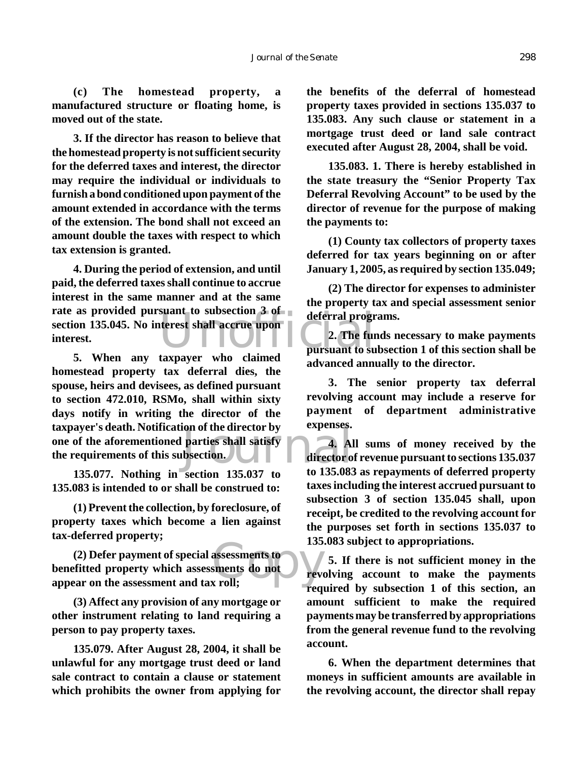**(c) The homestead property, a manufactured structure or floating home, is moved out of the state.**

**3. If the director has reason to believe that the homestead property is not sufficient security for the deferred taxes and interest, the director may require the individual or individuals to furnish a bond conditioned upon payment of the amount extended in accordance with the terms of the extension. The bond shall not exceed an amount double the taxes with respect to which tax extension is granted.**

Suant to subsection 3 of deferral progress<br>terrest shall accrue upon<br>pursuant to subsection of the pursuant to subsection **4. During the period of extension, and until paid, the deferred taxes shall continue to accrue interest in the same manner and at the same rate as provided pursuant to subsection 3 of section 135.045. No interest shall accrue upon interest.**

Fraction by Expenses.<br>
parties shall satisfy<br>
director of the 135 083<br>
to 135 083 **5. When any taxpayer who claimed homestead property tax deferral dies, the spouse, heirs and devisees, as defined pursuant to section 472.010, RSMo, shall within sixty days notify in writing the director of the taxpayer's death. Notification of the director by one of the aforementioned parties shall satisfy the requirements of this subsection.**

**135.077. Nothing in section 135.037 to 135.083 is intended to or shall be construed to:**

**(1) Prevent the collection, by foreclosure, of property taxes which become a lien against tax-deferred property;**

assessments to<br>sments do not<br>x roll; **(2) Defer payment of special assessments to benefitted property which assessments do not** appear on the assessment and tax roll;

**(3) Affect any provision of any mortgage or other instrument relating to land requiring a person to pay property taxes.**

**135.079. After August 28, 2004, it shall be unlawful for any mortgage trust deed or land sale contract to contain a clause or statement which prohibits the owner from applying for** **the benefits of the deferral of homestead property taxes provided in sections 135.037 to 135.083. Any such clause or statement in a mortgage trust deed or land sale contract executed after August 28, 2004, shall be void.**

**135.083. 1. There is hereby established in the state treasury the "Senior Property Tax Deferral Revolving Account" to be used by the director of revenue for the purpose of making the payments to:**

**(1) County tax collectors of property taxes deferred for tax years beginning on or after January 1, 2005, as required by section 135.049;**

**(2) The director for expenses to administer the property tax and special assessment senior deferral programs.**

**2. The funds necessary to make payments pursuant to subsection 1 of this section shall be advanced annually to the director.**

**3. The senior property tax deferral revolving account may include a reserve for payment of department administrative expenses.**

**4. All sums of money received by the director of revenue pursuant to sections 135.037 to 135.083 as repayments of deferred property taxes including the interest accrued pursuant to subsection 3 of section 135.045 shall, upon receipt, be credited to the revolving account for the purposes set forth in sections 135.037 to 135.083 subject to appropriations.**

**5. If there is not sufficient money in the revolving account to make the payments required by subsection 1 of this section, an amount sufficient to make the required payments may be transferred by appropriations from the general revenue fund to the revolving account.**

**6. When the department determines that moneys in sufficient amounts are available in the revolving account, the director shall repay**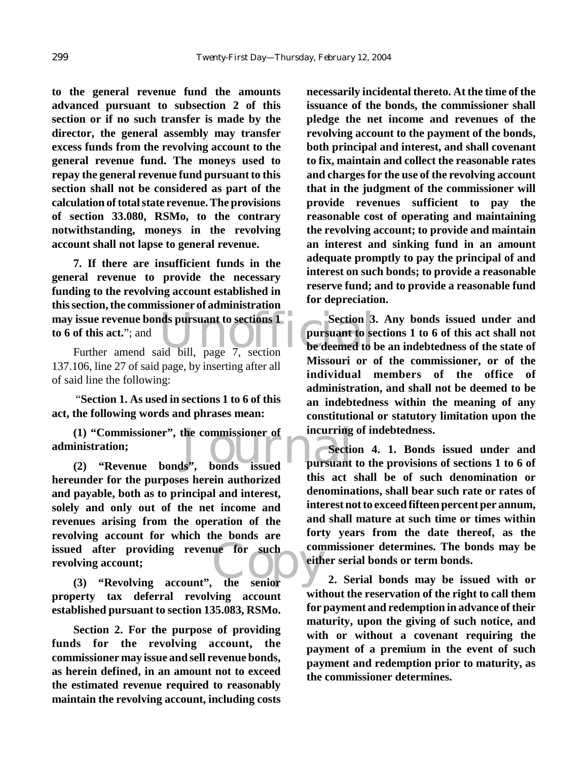**to the general revenue fund the amounts advanced pursuant to subsection 2 of this section or if no such transfer is made by the director, the general assembly may transfer excess funds from the revolving account to the general revenue fund. The moneys used to repay the general revenue fund pursuant to this section shall not be considered as part of the calculation of total state revenue. The provisions of section 33.080, RSMo, to the contrary notwithstanding, moneys in the revolving account shall not lapse to general revenue.**

issue revenue bonds pursuant to sections 1<br>
of this act."; and<br>
Further amend said bill, page 7, section<br>
Further amend said bill, page 7, section **7. If there are insufficient funds in the general revenue to provide the necessary funding to the revolving account established in this section, the commissioner of administration may issue revenue bonds pursuant to sections 1 to 6 of this act.**"; and

137.106, line 27 of said page, by inserting after all of said line the following:

 "**Section 1. As used in sections 1 to 6 of this act, the following words and phrases mean:**

(1) "Commissioner", the commissioner of incurring<br>
inistration;<br>
(2) "Revenue bonds", bonds issued pursuant **administration;**

ed after providing revenue for such conving account;<br>
(3) "Revolving account", the senior **(2) "Revenue bonds", bonds issued hereunder for the purposes herein authorized and payable, both as to principal and interest, solely and only out of the net income and revenues arising from the operation of the revolving account for which the bonds are issued after providing revenue for such revolving account;**

**property tax deferral revolving account established pursuant to section 135.083, RSMo.**

**Section 2. For the purpose of providing funds for the revolving account, the commissioner may issue and sell revenue bonds, as herein defined, in an amount not to exceed the estimated revenue required to reasonably maintain the revolving account, including costs** **necessarily incidental thereto. At the time of the issuance of the bonds, the commissioner shall pledge the net income and revenues of the revolving account to the payment of the bonds, both principal and interest, and shall covenant to fix, maintain and collect the reasonable rates and charges for the use of the revolving account that in the judgment of the commissioner will provide revenues sufficient to pay the reasonable cost of operating and maintaining the revolving account; to provide and maintain an interest and sinking fund in an amount adequate promptly to pay the principal of and interest on such bonds; to provide a reasonable reserve fund; and to provide a reasonable fund for depreciation.**

**Section 3. Any bonds issued under and pursuant to sections 1 to 6 of this act shall not be deemed to be an indebtedness of the state of Missouri or of the commissioner, or of the individual members of the office of administration, and shall not be deemed to be an indebtedness within the meaning of any constitutional or statutory limitation upon the incurring of indebtedness.**

**Section 4. 1. Bonds issued under and pursuant to the provisions of sections 1 to 6 of this act shall be of such denomination or denominations, shall bear such rate or rates of interest not to exceed fifteen percent per annum, and shall mature at such time or times within forty years from the date thereof, as the commissioner determines. The bonds may be either serial bonds or term bonds.**

**2. Serial bonds may be issued with or without the reservation of the right to call them for payment and redemption in advance of their maturity, upon the giving of such notice, and with or without a covenant requiring the payment of a premium in the event of such payment and redemption prior to maturity, as the commissioner determines.**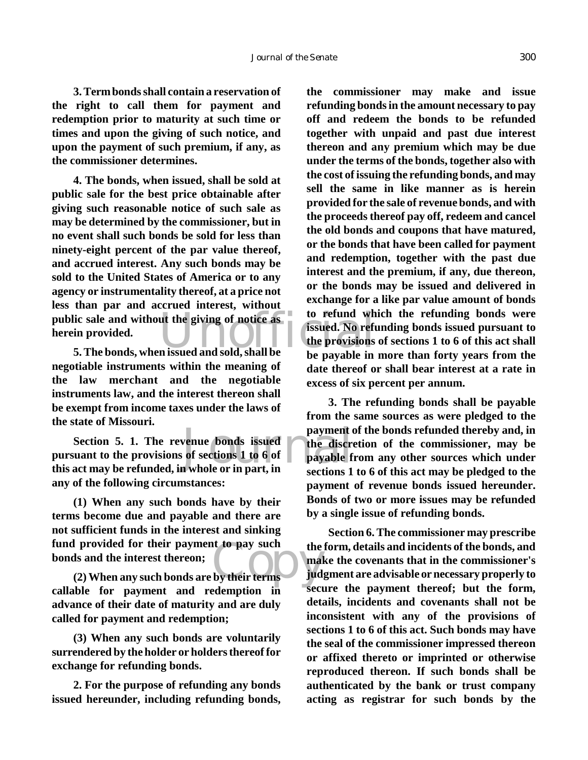**3. Term bonds shall contain a reservation of the right to call them for payment and redemption prior to maturity at such time or times and upon the giving of such notice, and upon the payment of such premium, if any, as the commissioner determines.**

ic sale and without the giving of notice as to refund when provided.<br> **5. The bonds, when issued and sold, shall be** be provisions be provided in **4. The bonds, when issued, shall be sold at public sale for the best price obtainable after giving such reasonable notice of such sale as may be determined by the commissioner, but in no event shall such bonds be sold for less than ninety-eight percent of the par value thereof, and accrued interest. Any such bonds may be sold to the United States of America or to any agency or instrumentality thereof, at a price not less than par and accrued interest, without public sale and without the giving of notice as herein provided.**

**negotiable instruments within the meaning of the law merchant and the negotiable instruments law, and the interest thereon shall be exempt from income taxes under the laws of the state of Missouri.**

payment of<br>
of sections 1 to 6 of<br>
n whole or in part, in<br>
payable f **Section 5. 1. The revenue bonds issued pursuant to the provisions of sections 1 to 6 of this act may be refunded, in whole or in part, in any of the following circumstances:** 

Fracture 1 provided for their payment to pay such<br>
the is and the interest thereon;<br>
(2) When any such bonds are by their terms in the such that **(1) When any such bonds have by their terms become due and payable and there are not sufficient funds in the interest and sinking fund provided for their payment to pay such bonds and the interest thereon;**

**callable for payment and redemption in advance of their date of maturity and are duly called for payment and redemption;**

**(3) When any such bonds are voluntarily surrendered by the holder or holders thereof for exchange for refunding bonds.**

**2. For the purpose of refunding any bonds issued hereunder, including refunding bonds,** **the commissioner may make and issue refunding bonds in the amount necessary to pay off and redeem the bonds to be refunded together with unpaid and past due interest thereon and any premium which may be due under the terms of the bonds, together also with the cost of issuing the refunding bonds, and may sell the same in like manner as is herein provided for the sale of revenue bonds, and with the proceeds thereof pay off, redeem and cancel the old bonds and coupons that have matured, or the bonds that have been called for payment and redemption, together with the past due interest and the premium, if any, due thereon, or the bonds may be issued and delivered in exchange for a like par value amount of bonds to refund which the refunding bonds were issued. No refunding bonds issued pursuant to the provisions of sections 1 to 6 of this act shall be payable in more than forty years from the date thereof or shall bear interest at a rate in excess of six percent per annum.**

**3. The refunding bonds shall be payable from the same sources as were pledged to the payment of the bonds refunded thereby and, in the discretion of the commissioner, may be payable from any other sources which under sections 1 to 6 of this act may be pledged to the payment of revenue bonds issued hereunder. Bonds of two or more issues may be refunded by a single issue of refunding bonds.**

**Section 6. The commissioner may prescribe the form, details and incidents of the bonds, and make the covenants that in the commissioner's judgment are advisable or necessary properly to secure the payment thereof; but the form, details, incidents and covenants shall not be inconsistent with any of the provisions of sections 1 to 6 of this act. Such bonds may have the seal of the commissioner impressed thereon or affixed thereto or imprinted or otherwise reproduced thereon. If such bonds shall be authenticated by the bank or trust company acting as registrar for such bonds by the**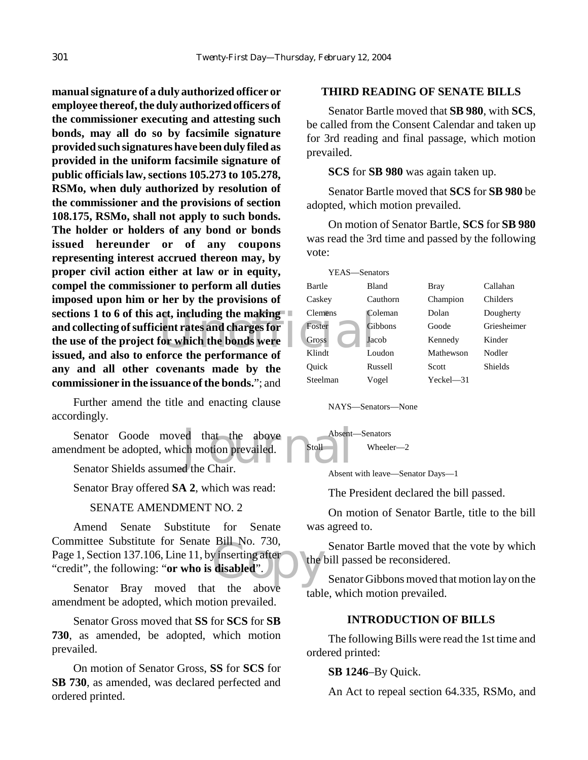**and changes for and changes of the set of the set of the set of the performance of the set of the set of the set of the set of the set of the set of the set of the set of the set of the set of the set of the set of the se manual signature of a duly authorized officer or employee thereof, the duly authorized officers of the commissioner executing and attesting such bonds, may all do so by facsimile signature provided such signatures have been duly filed as provided in the uniform facsimile signature of public officials law, sections 105.273 to 105.278, RSMo, when duly authorized by resolution of the commissioner and the provisions of section 108.175, RSMo, shall not apply to such bonds. The holder or holders of any bond or bonds issued hereunder or of any coupons representing interest accrued thereon may, by proper civil action either at law or in equity, compel the commissioner to perform all duties imposed upon him or her by the provisions of sections 1 to 6 of this act, including the making and collecting of sufficient rates and charges for the use of the project for which the bonds were issued, and also to enforce the performance of any and all other covenants made by the commissioner in the issuance of the bonds.**"; and

Further amend the title and enacting clause accordingly.

Senator Goode moved that the above Absent-<br>
Indian Market Absent-<br>
Senator Shields assumed the Chair. amendment be adopted, which motion prevailed.

Senator Shields assumed the Chair.

Senator Bray offered **SA 2**, which was read:

## SENATE AMENDMENT NO. 2

BIIL NO. 750,<br>
y inserting after<br>
disabled". Amend Senate Substitute for Senate Committee Substitute for Senate Bill No. 730, Page 1, Section 137.106, Line 11, by inserting after "credit", the following: "**or who is disabled**".

Senator Bray moved that the above amendment be adopted, which motion prevailed.

Senator Gross moved that **SS** for **SCS** for **SB 730**, as amended, be adopted, which motion prevailed.

On motion of Senator Gross, **SS** for **SCS** for **SB 730**, as amended, was declared perfected and ordered printed.

#### **THIRD READING OF SENATE BILLS**

Senator Bartle moved that **SB 980**, with **SCS**, be called from the Consent Calendar and taken up for 3rd reading and final passage, which motion prevailed.

**SCS** for **SB 980** was again taken up.

Senator Bartle moved that **SCS** for **SB 980** be adopted, which motion prevailed.

On motion of Senator Bartle, **SCS** for **SB 980** was read the 3rd time and passed by the following vote:

| YEAS—Senators |                |                |             |
|---------------|----------------|----------------|-------------|
| Bartle        | Bland          | <b>Bray</b>    | Callahan    |
| Caskev        | Cauthorn       | Champion       | Childers    |
| Clemens       | Coleman        | Dolan          | Dougherty   |
| Foster        | <b>Gibbons</b> | Goode          | Griesheimer |
| Gross         | Jacob          | Kennedy        | Kinder      |
| Klindt        | Loudon         | Mathewson      | Nodler      |
| Ouick         | Russell        | Scott          | Shields     |
| Steelman      | Vogel          | $Yeckel$ $-31$ |             |
|               |                |                |             |

NAYS—Senators—None

Absent—Senators Stoll Wheeler-2

Absent with leave—Senator Days—1

The President declared the bill passed.

On motion of Senator Bartle, title to the bill was agreed to.

Senator Bartle moved that the vote by which the bill passed be reconsidered.

Senator Gibbons moved that motion lay on the table, which motion prevailed.

#### **INTRODUCTION OF BILLS**

The following Bills were read the 1st time and ordered printed:

#### **SB 1246**–By Quick.

An Act to repeal section 64.335, RSMo, and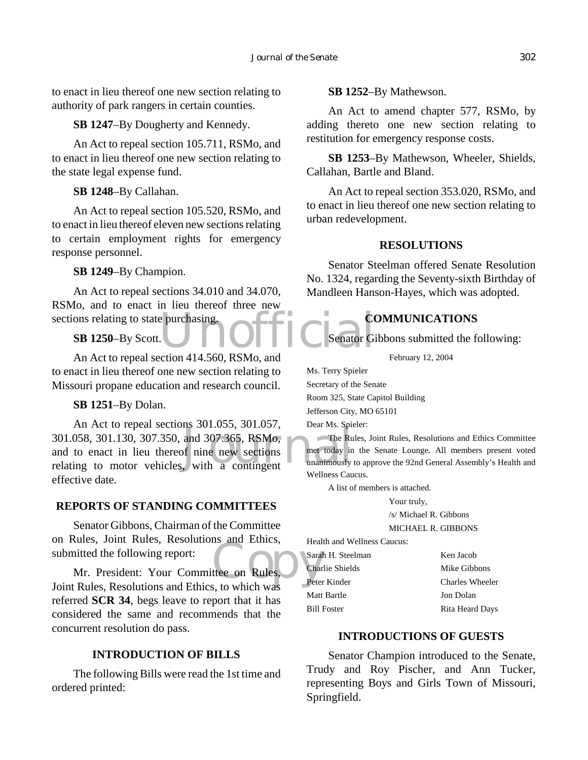to enact in lieu thereof one new section relating to authority of park rangers in certain counties.

#### **SB 1247**–By Dougherty and Kennedy.

An Act to repeal section 105.711, RSMo, and to enact in lieu thereof one new section relating to the state legal expense fund.

#### **SB 1248**–By Callahan.

An Act to repeal section 105.520, RSMo, and to enact in lieu thereof eleven new sections relating to certain employment rights for emergency response personnel.

#### **SB 1249**–By Champion.

e purchasing.<br>
OFFIC Senator Gi An Act to repeal sections 34.010 and 34.070, RSMo, and to enact in lieu thereof three new sections relating to state purchasing.

#### **SB 1250**–By Scott.

An Act to repeal section 414.560, RSMo, and to enact in lieu thereof one new section relating to Missouri propane education and research council.

#### **SB 1251**–By Dolan.

All Act to repeal sections 501.055, 501.057, bear Ms. SpR<br>301.058, 301.130, 307.350, and 307.365, RSMo, The Ru<br>and to enact in lieu thereof nine new sections<br>relating to motor vehicles, with a contingent An Act to repeal sections 301.055, 301.057, 301.058, 301.130, 307.350, and 307.365, RSMo, and to enact in lieu thereof nine new sections effective date.

#### **REPORTS OF STANDING COMMITTEES**

Senator Gibbons, Chairman of the Committee on Rules, Joint Rules, Resolutions and Ethics, submitted the following report:

Example 2016<br>
Integral on Rules, Character on Rules, Character and Character and Character and Character and Character and Character and Character and Character and Character and Character and Character and Character and C Mr. President: Your Committee on Rules, Joint Rules, Resolutions and Ethics, to which was referred **SCR 34**, begs leave to report that it has considered the same and recommends that the concurrent resolution do pass.

## **INTRODUCTION OF BILLS**

The following Bills were read the 1st time and ordered printed:

#### **SB 1252**–By Mathewson.

An Act to amend chapter 577, RSMo, by adding thereto one new section relating to restitution for emergency response costs.

**SB 1253**–By Mathewson, Wheeler, Shields, Callahan, Bartle and Bland.

An Act to repeal section 353.020, RSMo, and to enact in lieu thereof one new section relating to urban redevelopment.

#### **RESOLUTIONS**

Senator Steelman offered Senate Resolution No. 1324, regarding the Seventy-sixth Birthday of Mandleen Hanson-Hayes, which was adopted.

## **COMMUNICATIONS**

Senator Gibbons submitted the following:

February 12, 2004

Ms. Terry Spieler

Secretary of the Senate

Room 325, State Capitol Building

Jefferson City, MO 65101

Dear Ms. Spieler:

The Rules, Joint Rules, Resolutions and Ethics Committee met today in the Senate Lounge. All members present voted unanimously to approve the 92nd General Assembly's Health and Wellness Caucus.

A list of members is attached.

Your truly, /s/ Michael R. Gibbons

MICHAEL R. GIBBONS

Health and Wellness Caucus:

Sarah H. Steelman Ken Jacob Charlie Shields Mike Gibbons Peter Kinder Charles Wheeler Matt Bartle **Jon Dolan** Bill Foster Rita Heard Days

## **INTRODUCTIONS OF GUESTS**

Senator Champion introduced to the Senate, Trudy and Roy Pischer, and Ann Tucker, representing Boys and Girls Town of Missouri, Springfield.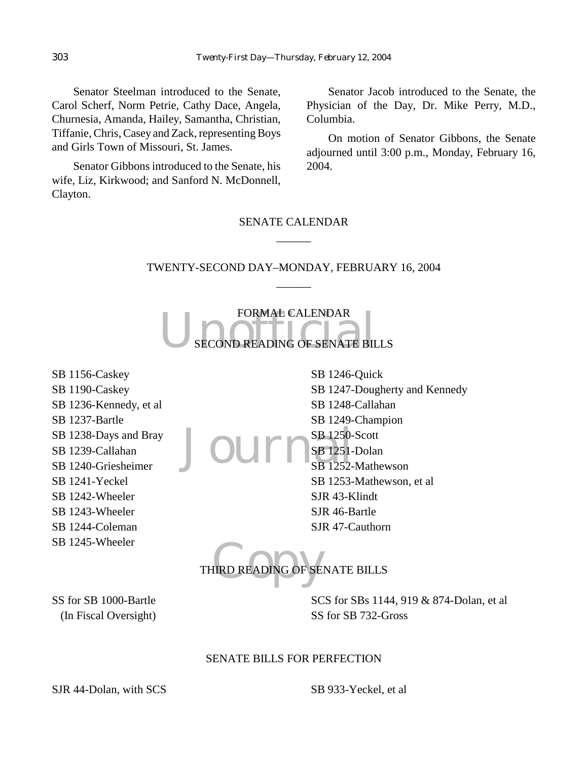Senator Steelman introduced to the Senate, Carol Scherf, Norm Petrie, Cathy Dace, Angela, Churnesia, Amanda, Hailey, Samantha, Christian, Tiffanie, Chris, Casey and Zack, representing Boys and Girls Town of Missouri, St. James.

Senator Gibbons introduced to the Senate, his wife, Liz, Kirkwood; and Sanford N. McDonnell, Clayton.

Senator Jacob introduced to the Senate, the Physician of the Day, Dr. Mike Perry, M.D., Columbia.

On motion of Senator Gibbons, the Senate adjourned until 3:00 p.m., Monday, February 16, 2004.

# SENATE CALENDAR  $\overline{\phantom{a}}$

## TWENTY-SECOND DAY–MONDAY, FEBRUARY 16, 2004  $\overline{\phantom{a}}$

FORMAL CALENDAR<br>SECOND READING OF SENATE BILLS FORMAL CALENDAR

SB 1156-Caskey SB 1190-Caskey SB 1236-Kennedy, et al SB 1237-Bartle SB 1238-Days and Bray SB 1239-Callahan SB 1240-Griesheimer SB 1241-Yeckel SB 1242-Wheeler SB 1243-Wheeler SB 1244-Coleman SB 1245-Wheeler

Journ<sup>SB 1250-</sup> SB 1246-Quick SB 1247-Dougherty and Kennedy SB 1248-Callahan SB 1249-Champion SB 1250-Scott SB 1251-Dolan SB 1252-Mathewson SB 1253-Mathewson, et al SJR 43-Klindt SJR 46-Bartle SJR 47-Cauthorn

IRD READING OF SE THIRD READING OF SENATE BILLS

SS for SB 1000-Bartle (In Fiscal Oversight) SCS for SBs 1144, 919 & 874-Dolan, et al SS for SB 732-Gross

#### SENATE BILLS FOR PERFECTION

SJR 44-Dolan, with SCS SB 933-Yeckel, et al